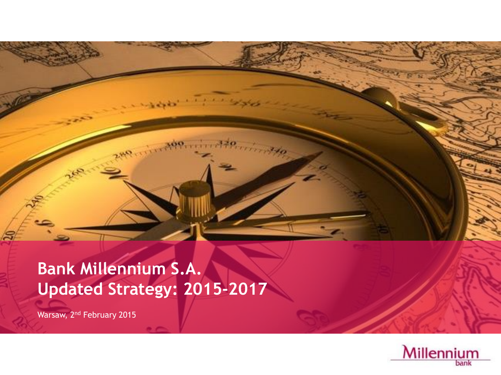# **Bank Millennium S.A. Updated Strategy: 2015-2017**

Warsaw, 2<sup>nd</sup> February 2015

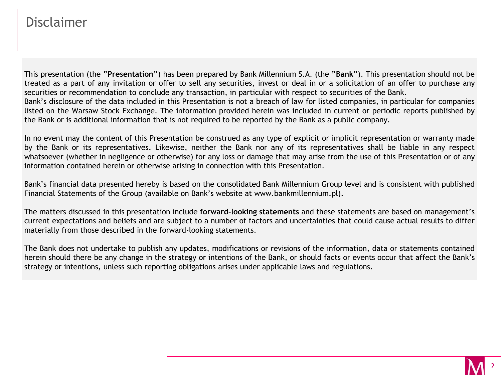### Disclaimer

This presentation (the **"Presentation"**) has been prepared by Bank Millennium S.A. (the **"Bank"**). This presentation should not be treated as a part of any invitation or offer to sell any securities, invest or deal in or a solicitation of an offer to purchase any securities or recommendation to conclude any transaction, in particular with respect to securities of the Bank. Bank's disclosure of the data included in this Presentation is not a breach of law for listed companies, in particular for companies listed on the Warsaw Stock Exchange. The information provided herein was included in current or periodic reports published by the Bank or is additional information that is not required to be reported by the Bank as a public company.

In no event may the content of this Presentation be construed as any type of explicit or implicit representation or warranty made by the Bank or its representatives. Likewise, neither the Bank nor any of its representatives shall be liable in any respect whatsoever (whether in negligence or otherwise) for any loss or damage that may arise from the use of this Presentation or of any information contained herein or otherwise arising in connection with this Presentation.

Bank's financial data presented hereby is based on the consolidated Bank Millennium Group level and is consistent with published Financial Statements of the Group (available on Bank's website at www.bankmillennium.pl).

The matters discussed in this presentation include **forward-looking statements** and these statements are based on management's current expectations and beliefs and are subject to a number of factors and uncertainties that could cause actual results to differ materially from those described in the forward-looking statements.

The Bank does not undertake to publish any updates, modifications or revisions of the information, data or statements contained herein should there be any change in the strategy or intentions of the Bank, or should facts or events occur that affect the Bank's strategy or intentions, unless such reporting obligations arises under applicable laws and regulations.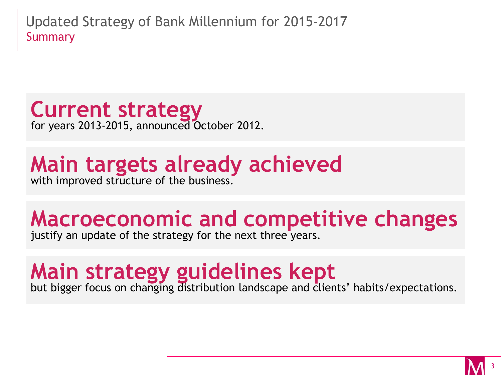**Current strategy** for years 2013-2015, announced October 2012.

# **Main targets already achieved**

with improved structure of the business.

# **Macroeconomic and competitive changes**

justify an update of the strategy for the next three years.

# **Main strategy guidelines kept**

but bigger focus on changing distribution landscape and clients' habits/expectations.

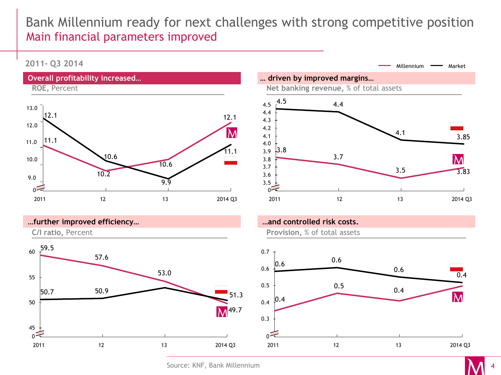# Bank Millennium ready for next challenges with strong competitive position Main financial parameters improved

#### **2011– Q3 2014**







**…and controlled risk costs.**



Source: KNF, Bank Millennium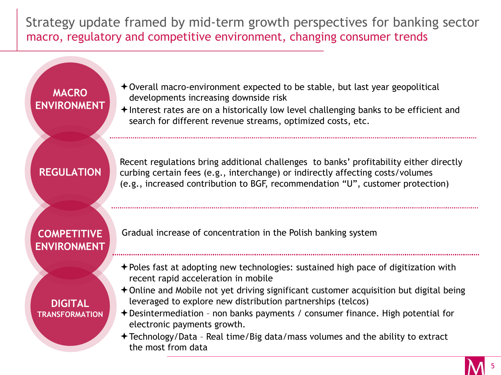Strategy update framed by mid-term growth perspectives for banking sector macro, regulatory and competitive environment, changing consumer trends

### **MACRO ENVIRONMENT**

- $\rightarrow$  Overall macro-environment expected to be stable, but last year geopolitical developments increasing downside risk
- $\triangle$  Interest rates are on a historically low level challenging banks to be efficient and search for different revenue streams, optimized costs, etc.

#### **REGULATION**

Recent regulations bring additional challenges to banks' profitability either directly curbing certain fees (e.g., interchange) or indirectly affecting costs/volumes (e.g., increased contribution to BGF, recommendation "U", customer protection)

#### **COMPETITIVE ENVIRONMENT**

**DIGITAL TRANSFORMATION** Gradual increase of concentration in the Polish banking system

- Poles fast at adopting new technologies: sustained high pace of digitization with recent rapid acceleration in mobile
- $\triangle$  Online and Mobile not yet driving significant customer acquisition but digital being leveraged to explore new distribution partnerships (telcos)
- Desintermediation non banks payments / consumer finance. High potential for electronic payments growth.
- Technology/Data Real time/Big data/mass volumes and the ability to extract the most from data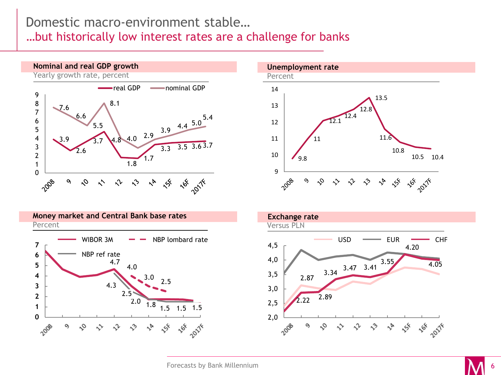### Domestic macro-environment stable…

…but historically low interest rates are a challenge for banks







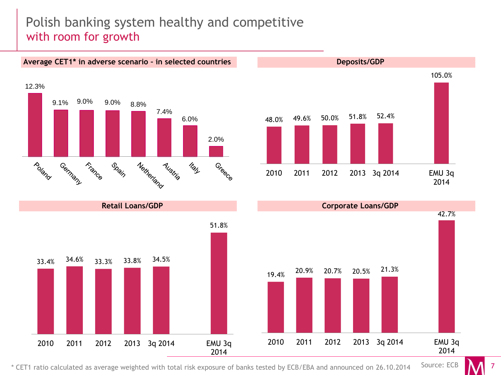# Polish banking system healthy and competitive with room for growth





**Deposits/GDP**



\* CET1 ratio calculated as average weighted with total risk exposure of banks tested by ECB/EBA and announced on 26.10.2014 Source: ECB

7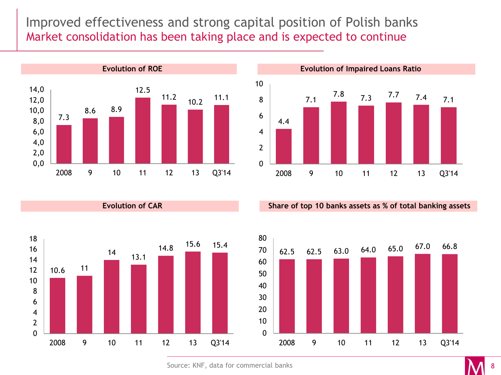Improved effectiveness and strong capital position of Polish banks Market consolidation has been taking place and is expected to continue

![](_page_7_Figure_1.jpeg)

**Evolution of CAR**

**Evolution of Impaired Loans Ratio**

![](_page_7_Figure_3.jpeg)

**Share of top 10 banks assets as % of total banking assets** 

![](_page_7_Figure_5.jpeg)

![](_page_7_Figure_6.jpeg)

Source: KNF, data for commercial banks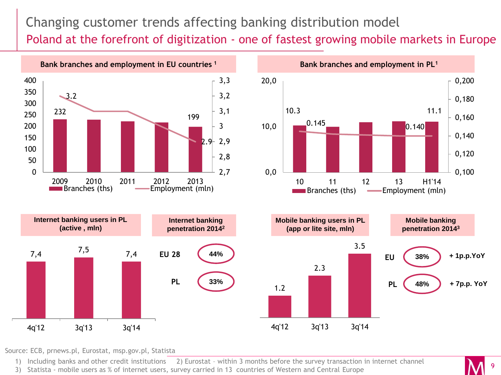# Changing customer trends affecting banking distribution model Poland at the forefront of digitization - one of fastest growing mobile markets in Europe

![](_page_8_Figure_1.jpeg)

Source: ECB, prnews.pl, Eurostat, msp.gov.pl, Statista

1) Including banks and other credit institutions 2) Eurostat – within 3 months before the survey transaction in internet channel

3) Statista - mobile users as % of internet users, survey carried in 13 countries of Western and Central Europe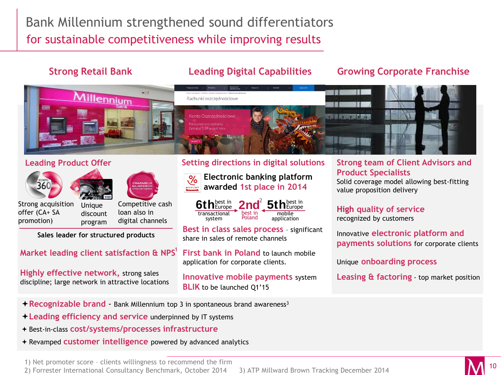# Bank Millennium strengthened sound differentiators for sustainable competitiveness while improving results

#### **Strong Retail Bank Leading Digital Capabilities**

#### **Growing Corporate Franchise**

![](_page_9_Picture_4.jpeg)

#### **Leading Product Offer**

![](_page_9_Picture_6.jpeg)

![](_page_9_Picture_7.jpeg)

![](_page_9_Picture_8.jpeg)

Strong acquisition offer (CA+ SA promotion)

**Unique** discount program Competitive cash loan also in digital channels

**Sales leader for structured products** 

#### **Market leading client satisfaction & NPS** 1

**Highly effective network,** strong sales discipline; large network in attractive locations

#### **Setting directions in digital solutions**

![](_page_9_Picture_15.jpeg)

**Electronic banking platform**  1 **awarded 1st place in 2014** 

![](_page_9_Picture_17.jpeg)

**Best in class sales process** – significant share in sales of remote channels

**First bank in Poland** to launch mobile application for corporate clients.

**Innovative mobile payments** system **BLIK** to be launched Q1'15

#### **Strong team of Client Advisors and Product Specialists**

Solid coverage model allowing best-fitting value proposition delivery

#### **High quality of service**  recognized by customers

Innovative **electronic platform and payments solutions** for corporate clients

Unique **onboarding process**

**Leasing & factoring** - top market position

- **Recognizable brand** Bank Millennium top 3 in spontaneous brand awareness<sup>3</sup>
- **Leading efficiency and service** underpinned by IT systems
- Best-in-class **cost/systems/processes infrastructure**
- Revamped **customer intelligence** powered by advanced analytics

1) Net promoter score – clients willingness to recommend the firm

2) Forrester International Consultancy Benchmark, October 2014 3) ATP Millward Brown Tracking December 2014

![](_page_9_Picture_34.jpeg)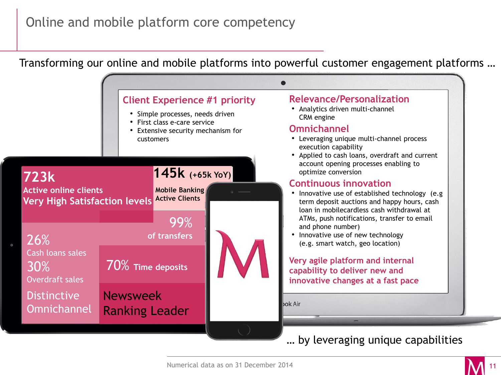# Online and mobile platform core competency

Transforming our online and mobile platforms into powerful customer engagement platforms …

![](_page_10_Figure_2.jpeg)

![](_page_10_Figure_4.jpeg)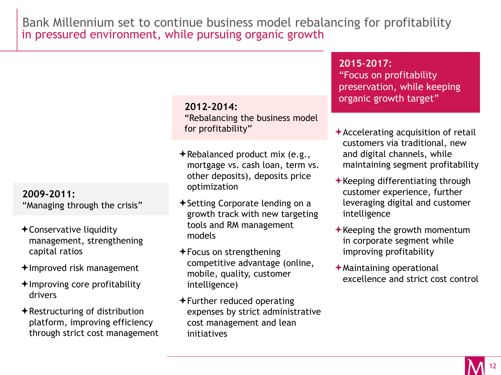in pressured environment, while pursuing organic growth Bank Millennium set to continue business model rebalancing for profitability

#### **2012-2014:**

"Rebalancing the business model for profitability"

- $\bigstar$ Rebalanced product mix (e.g., mortgage vs. cash loan, term vs. other deposits), deposits price optimization
- $\triangle$ Setting Corporate lending on a growth track with new targeting tools and RM management models
- $\bigstar$  Focus on strengthening competitive advantage (online, mobile, quality, customer intelligence)
- $\bigstar$  Further reduced operating expenses by strict administrative cost management and lean initiatives

#### **2015-2017:**

"Focus on profitability preservation, while keeping organic growth target"

- $\triangle$  Accelerating acquisition of retail customers via traditional, new and digital channels, while maintaining segment profitability
- $\bigstar$ Keeping differentiating through customer experience, further leveraging digital and customer intelligence
- $\bigstar$  Keeping the growth momentum in corporate segment while improving profitability
- $\bigstar$ Maintaining operational excellence and strict cost control

#### **2009-2011:**

"Managing through the crisis"

- Conservative liquidity management, strengthening capital ratios
- $+$ Improved risk management
- $\triangle$ Improving core profitability drivers
- $\bigstar$ Restructuring of distribution platform, improving efficiency through strict cost management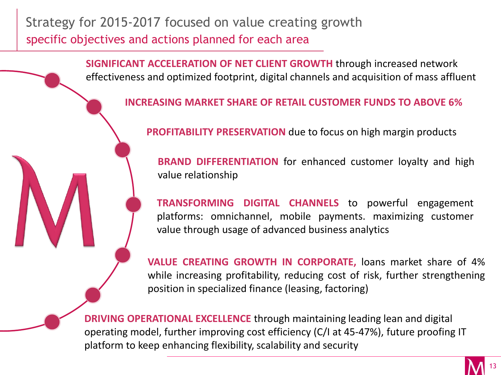# Strategy for 2015-2017 focused on value creating growth specific objectives and actions planned for each area

**SIGNIFICANT ACCELERATION OF NET CLIENT GROWTH** through increased network effectiveness and optimized footprint, digital channels and acquisition of mass affluent

**INCREASING MARKET SHARE OF RETAIL CUSTOMER FUNDS TO ABOVE 6%**

**PROFITABILITY PRESERVATION** due to focus on high margin products

**BRAND DIFFERENTIATION** for enhanced customer loyalty and high value relationship

**TRANSFORMING DIGITAL CHANNELS** to powerful engagement platforms: omnichannel, mobile payments. maximizing customer value through usage of advanced business analytics

**VALUE CREATING GROWTH IN CORPORATE,** loans market share of 4% while increasing profitability, reducing cost of risk, further strengthening position in specialized finance (leasing, factoring)

**DRIVING OPERATIONAL EXCELLENCE** through maintaining leading lean and digital operating model, further improving cost efficiency (C/I at 45-47%), future proofing IT platform to keep enhancing flexibility, scalability and security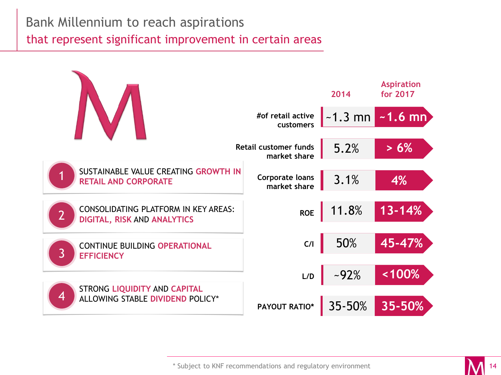# Bank Millennium to reach aspirations

that represent significant improvement in certain areas

![](_page_13_Figure_2.jpeg)